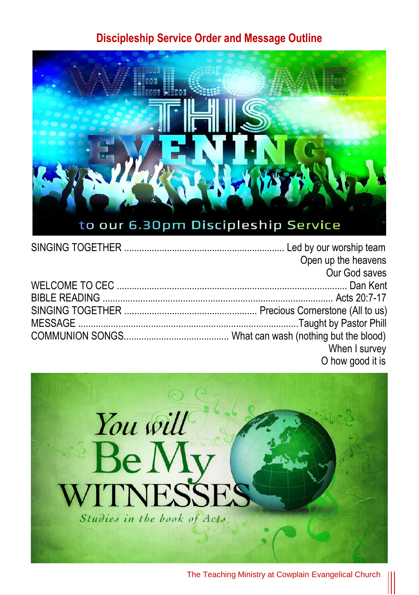## **Discipleship Service Order and Message Outline**



|  | Open up the heavens |
|--|---------------------|
|  | Our God saves       |
|  |                     |
|  |                     |
|  |                     |
|  |                     |
|  |                     |
|  | When I survey       |
|  | O how good it is    |

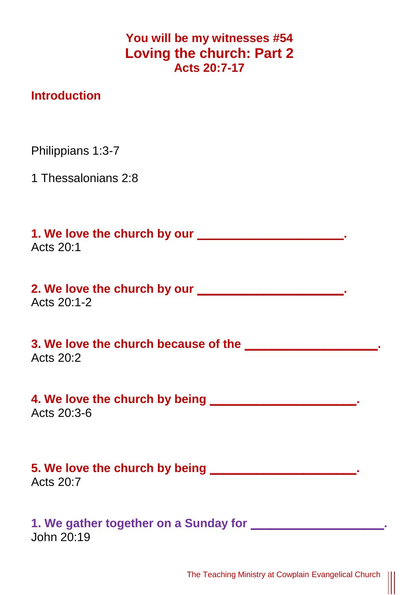**You will be my witnesses #54 Loving the church: Part 2 Acts 20:7-17**

## **Introduction**

Philippians 1:3-7

1 Thessalonians 2:8

**1. We love the church by our \_\_\_\_\_\_\_\_\_\_\_\_\_\_\_\_\_\_\_\_\_\_.** Acts 20:1

**2. We love the church by our \_\_\_\_\_\_\_\_\_\_\_\_\_\_\_\_\_\_\_\_\_\_.** Acts 20:1-2

**3. We love the church because of the \_\_\_\_\_\_\_\_\_\_\_\_\_\_\_\_\_\_\_\_.** Acts 20:2

**4. We love the church by being \_\_\_\_\_\_\_\_\_\_\_\_\_\_\_\_\_\_\_\_\_\_.** Acts 20:3-6

**5. We love the church by being \_\_\_\_\_\_\_\_\_\_\_\_\_\_\_\_\_\_\_\_\_\_.** Acts  $20.7$ 

**1. We gather together on a Sunday for \_\_\_\_\_\_\_\_\_\_\_\_\_\_\_\_\_\_\_\_.** John 20:19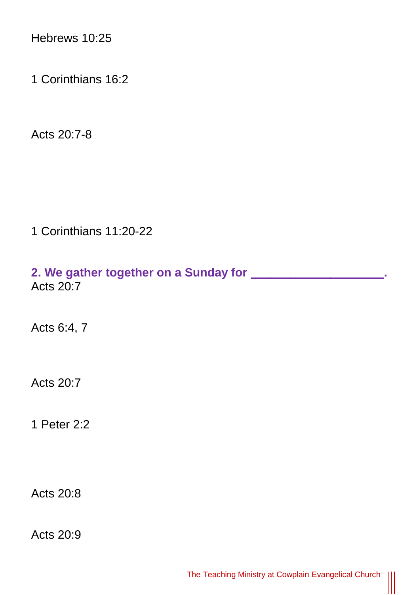Hebrews 10:25

1 Corinthians 16:2

Acts 20:7-8

1 Corinthians 11:20-22

**2. We gather together on a Sunday for \_\_\_\_\_\_\_\_\_\_\_\_\_\_\_\_\_\_\_\_.** Acts 20:7

Acts 6:4, 7

Acts 20:7

1 Peter 2:2

Acts 20:8

Acts 20:9